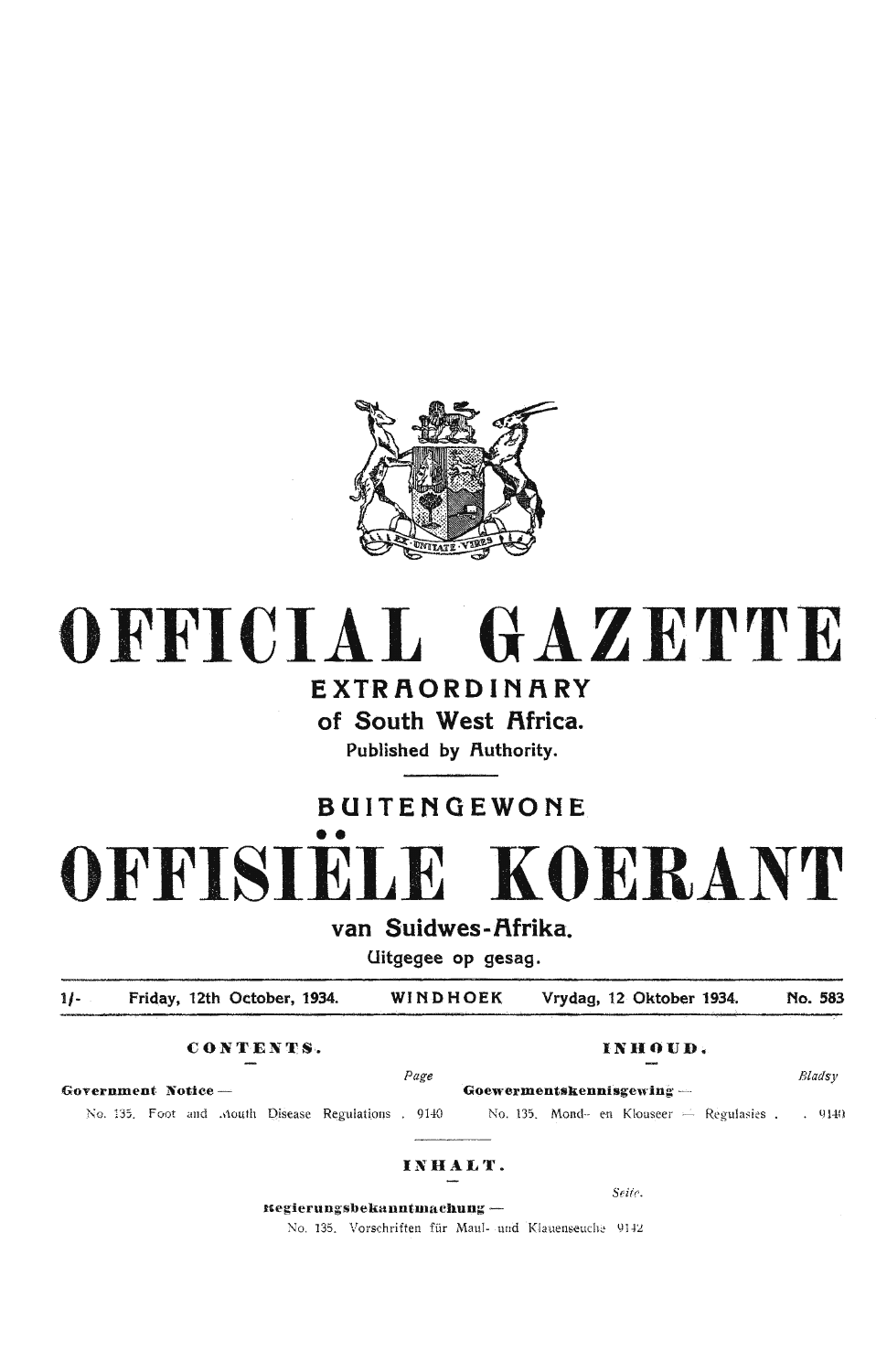

# GAZETTE OFFICIAL

# EXTRAORDINARY

of South West Africa.

Published by Authority.

# **BUITENGEWONE** E KOERANT OFFISTE

van Suidwes-Afrika.

Uitgegee op gesag.

| $1/-$              |  |  |  |  | Friday, 12th October, 1934. |                                                    | WINDHOEK |         |                           | Vrydag, 12 Oktober 1934.                           |  | No. 583          |
|--------------------|--|--|--|--|-----------------------------|----------------------------------------------------|----------|---------|---------------------------|----------------------------------------------------|--|------------------|
| CONTENTS.          |  |  |  |  |                             |                                                    |          | INHOUD. |                           |                                                    |  |                  |
| Government Notice- |  |  |  |  |                             |                                                    | Page     |         | Goewermentskennisgewing - |                                                    |  |                  |
|                    |  |  |  |  |                             | No. 135. Foot and Mouth Disease Regulations . 9140 |          |         |                           | No. $135$ , Mond- en Klouseer $\equiv$ Regulasies. |  | $\frac{9140}{2}$ |
|                    |  |  |  |  |                             |                                                    |          |         |                           |                                                    |  |                  |
|                    |  |  |  |  |                             |                                                    | INHALT.  |         |                           |                                                    |  |                  |

**Regierungsbekanntmachung**-

No. 135. Vorschriften für Maul- und Klauenseuche 9142

Seite.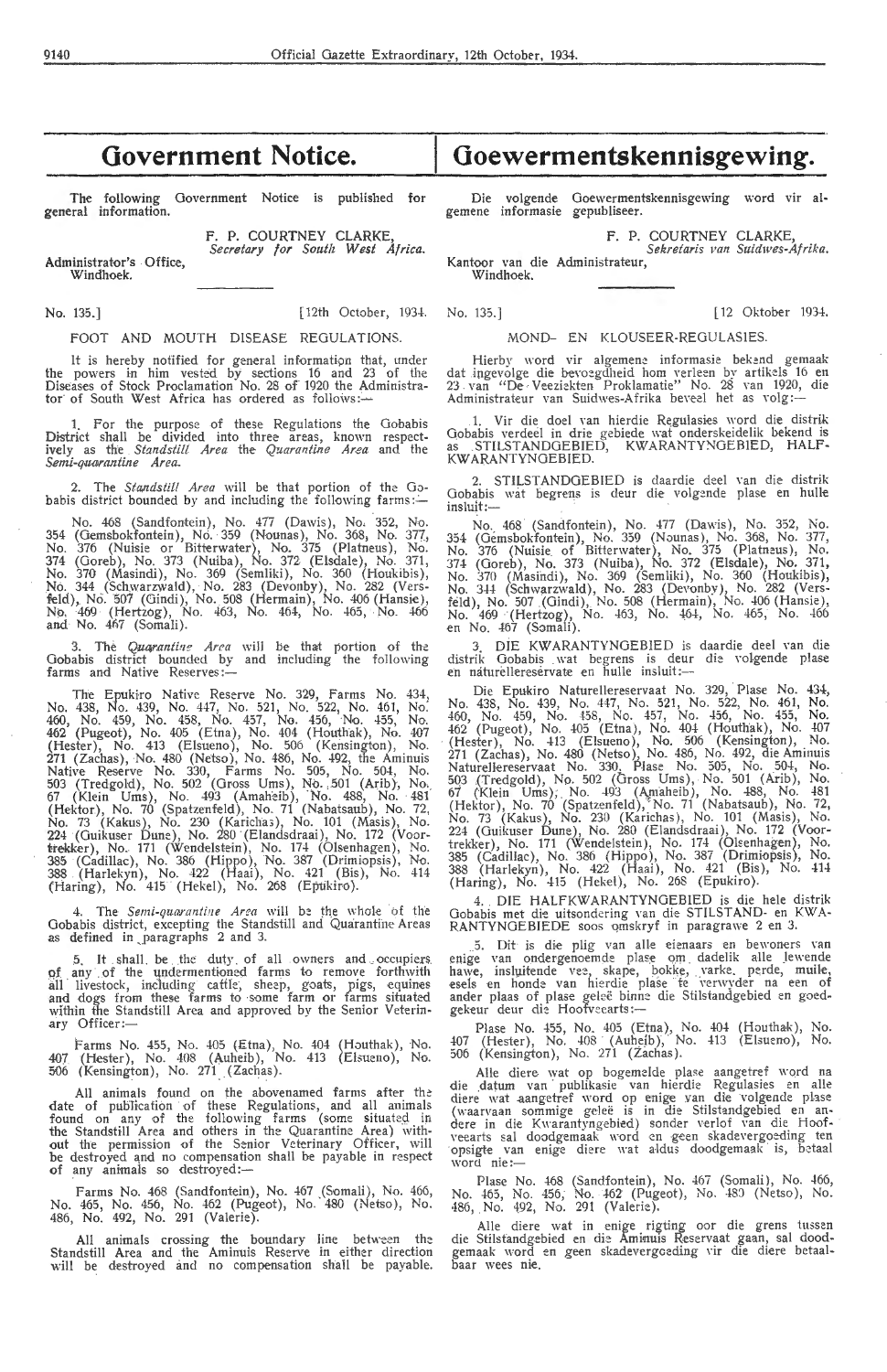The following Government Notice is published for general information.

> F. P. COURTNEY CLARKE, *Secretary for South West Africa.*

Administrator's Office, Windhoek.

#### FOOT AND MOUTH DISEASE REGULATIONS. MOND- EN KLOUSEER-REGULASIES

It is hereby notified for general information that, under<br>the powers in him vested by sections 16 and 23 of the<br>Diseases of Stock Proclamation No. 28 of 1920 the Administra-<br>tor of South West Africa has ordered as follows:

1. For the purpose of these Regulations the Oobabis District shall be divided into three areas, known respectively as the *Standstill Area* the *Quarantine Area* and the *Semi-quarantine Area*.

2. The *Sta,ndstil! Area* will be that portion of the Oobabis district bounded by and including the following farms: $\dot{--}$ 

No. 468 (Sandfontein), No. 477 (Dawis), No, 352, No. 354 (Oemsbokfontein), No. 359 (Nounas), No. 368; No. 377\_; No. 376 (Nuisie or Bitterwater), No. 375 (Platneus), No.<br>374 (Goreb), No. 373 (Nuiba), No. 372 (Elsdale), No. 371, No. 370 (Masindi), No. 369 (Semliki), No. 360 (Houkibis),<br>No. 344 (Schwarzwald), No. 283 (Devonby), No. 282 (Vers-<br>**f**eld), No. 507 (Gindi), No. 508 (Hermain), No. 406 (Hansie), No, 469 (Hertzog), No. 463, No. 464, No. 465, No. 466 and No. 467 (Somali).

3. The *Quarantine Area* will be that portion of the Gobabis district bounded by and including the following farms and Native Reserves: farms and Native Reserves:-

The Epukiro Native Reserve No. 329, Farms No. 434, No. 438, No. 439, No. 447, No. 521, No. 522, No. 461, No. 460, No. 459, No. 458, No. 457, No. 456, No. 455, No. 462 (Pugeot), No. 405 (Etna), No. 404 (Houthak), No. 407 (Hester), No. 413 (Elsueno), No. 506 (Kensington), No.<br>271 (Zachas), No. 480 (Netso), No. 486, No. 492, the Aminuis<br>Native Reserve No. 330, Farms No. 505, No. 504, No.<br>503 (Tredgold), No. 502 (Gross Ums), No. 501 (Arib), N (Hektor), No. 70 (Spatzenfeld), No. 71 (Nabatsaub), No. 72,<br>No. 73 (Kakus), No. 230 (Karichas), No. 101 (Masis), No. 224 (Ouikuser Dune), No. 280 (Elandsdraai), No. 172 (Voor- ttekker), No. 171 (Wendelstein), No. 174 (Ols·enhagen), No. 385 (Cadillac), No. 386 (Hippo), No. 387 (Drimiopsis), No. 388 (Harlekyn), No. 422 (Haai), No. 421 (Bis), No. 414 (Haring), No. 415 (Hekel), No. 268 (Epukiro).

The Semi-quarantine Area will be the whole of the Oobabis district, excepting the Standstill and Quarantiile Areas as defined in \_paragraphs 2 and 3.

5. It shall be the duty of all owners and occupiers of any of the undermentioned farms to remove forthwith all livestock, including cattle, sheep, goats, pigs, equines and dogs from these farms to some farm or farms situated within the Standstill Area and approved by the Senior Veterin-<br>ary Officer:—

Farms No. 455, No. 405 (Etna), No. 404 (Houthak), No. 407 (Hester), No. 408 (Auheib), No. 413 (Elsueno), No.<br>506 (Kensington), No. 271 (Zachas).

All animals found on the abovenamed farms after the date of publication of these Regulations, and all animals<br>found on any of the following farms (some situated in the Standstill Area and others in the Quarantine Area) without the permission of the Senior Veterinary Officer, will be destroyed and no compensation shall be payable in respect of any animals so destroyed:-

Farms No. 468 (Sandfontein), No. 467 (Somali), No. 466, No. 465, No. 456, No. 462 (Pugeot), No. 480 (Netso), No. 486, No. 492, No. 291 (Valerie).

All animals crossing the boundary line between the Standstill Area and the Aminuis Reserve in either direction will be destroyed and no compensation shall be payable.

### **Goewermentskennisgewing.**

Die volgende Ooewermentskennisgewing word vir al• gemene informasie gepubliseer.

F. P. COURTNEY CLARKE, *Sekretaris van Suidwes-Afrika.* 

Kantoor van die Administrateur, Windhoek.

Hierby word vir algemene informasie bekend gemaak dat .ingevolge die bevoegdheid hom verleen by artikels 16 en<br>23 van "De · Veeziekten Proklamatie'' No. 28 van 1920, die<br>Administrateur van Suidwes-Afrika beveel het as volg:---

Vir die doel van hierdie Regulasies word die distrik Oobabis verdeel in drie gebiede \mt onderske idelik bekend is as STILSTANDOEBIED, KWARANTY:\'OEBIED, HALF-KWARANTYNOEBIED.

2. STILSTANDGEBIED is daardie deel van die distrik Gobabis wat begrens is deur die volgende plase en hulle insluit:-

No. 468 (Sandfontein), No. 477 (Dawis), No. 352, No. 354 (Oemsbokfontein), No. 359 (Nounas), No. 368, No. 377, No. 376 (Nuisie of Bitterwater), No. 375 (Platneus), No. 374 (Goreb), No. 373 (Nuiba), No. 372 (Elsdale), No. 371,<br>No. 370 (Masindi), No. 369 (Semliki), No. 360 (Houkibis), No. 3-H (Schwarzwald), No. 283 (Devonby), No. 282 (Versfeld), No. 507 (Gindi), No. 508 (Hermain), No. 406 (Hansie), No. 469 (Hertzog), No. 463, No. -164, No. 465 , No. 466 en No. 467 (Somali).

3 DIE KWARANTYNOEBIED is daardie dee! van die distrik Gobabis wat begrens is deur die volgende plase<br>en naturellereservate en hulle insluit :--

Die Epukiro Naturellereservaat No. 329, Plase No. 434, No. 438, No. 439, No. 447, No. 521, No . 522, No. 46 1, No. 460, No. 459, No. 458, No. 457, No. 456, No. 455, No.<br>462 (Pugeot), No. 405 (Etna), No. 404 (Houthak), No. 407<br>• (Hester), No. 413 (Elsueno), No. 506 (Kensington), No. 271 (Zachas), No. 480 (Netso ), No. 486, No. 492, die Aminuis Naturellereservaat No. 330. Plase No. 505, No. 504, No. 5Q3 .(Tredgold), No. 502 (Gross Urns), No. 501 (Arib), No. 67 (Klein Ums), No. 493 (Amaheib), No. 488, No. 481 (Hektor), No. 70 (Spatzenfeld), ' No. 71 (Nabatsaub ), No. 72, No. 73 (Kakus), No. 230 (Karichas), No. 101 (Masis), No. 224 (Ouikuse r Dune), No. 280 (Elandsdraai), No. 172 (Voortrekker), No. 171 (Wendelstein), No. 174 (Olsenhagen), No. 385 (Cadillac ), No. 386 (Hippo), No. 387 (Drimiopsis), No. 388 (Harlekyn), No. 422 (Haai), No. 421 (Bis), No. 414 (Haring), No. 415 (Hekel), No. 268 (Epukiro).

4. DIE HALFKWARANTYNOEBIED is die hele distrik Oobabis met die uitsondering Yan die STILST AND- en KWA- RANTYNOEBIEDE soos qmskryf in paragrawe 2 en 3.

5. Dit is die plig van alle eienaars en bewoners van enige van ondergenoemde plase om dadelik alle lewende hawe, insluitende vee, skape, bokke, varke, perde, muile, esels en honde van hierdie plase te verwyder na een of ander plaas of plase geleë binne die Stilstandgebied en goed-<br>gekeur deur die Hoofveearts :-

Plase No. 455, No. 405 (Etna), No. 404 (Houthak), No. 407 (Hester), No. 408 (Auheib), No. 413 (Elsueno), No. 506 (Kensington), No. 271 (Zachas).

Alle diere wat op bogemelde plase aangetref word na die datum van publikasie van hierdie Regulasies en alle diere wat aangetref word op enige van die volgende plase<br>(waarvaan sommige geleë is in die Stilstandgebied en an-<br>dere in die Kwarantyngebied) sonder verlof van die Hoofveearts sal doodgemaak word en geen skadevergoeding ten<br>opsigte van enige diere wat aldus doodgemaak is, betaal word nie:-

Plase No. 468 (Sandfontein), No. 467 (Somali), No. 466, No. 465, No. 456, No. 462 (Pugeot), No. -IS'.J (Netso ), No. •!86, No. 492, No. 291 (Valerie).

Alle diere wat in enige rigting oor die grens tussen<br>die Stilstandgebied en die Aminuis Reservaat gaan, sal doodgemaak word en geen skadevergoeding vir die diere betaalbaar wees nie.

No. 135.] [ 12th October, 1934. No. 135.] [ 12 Oktober 1934.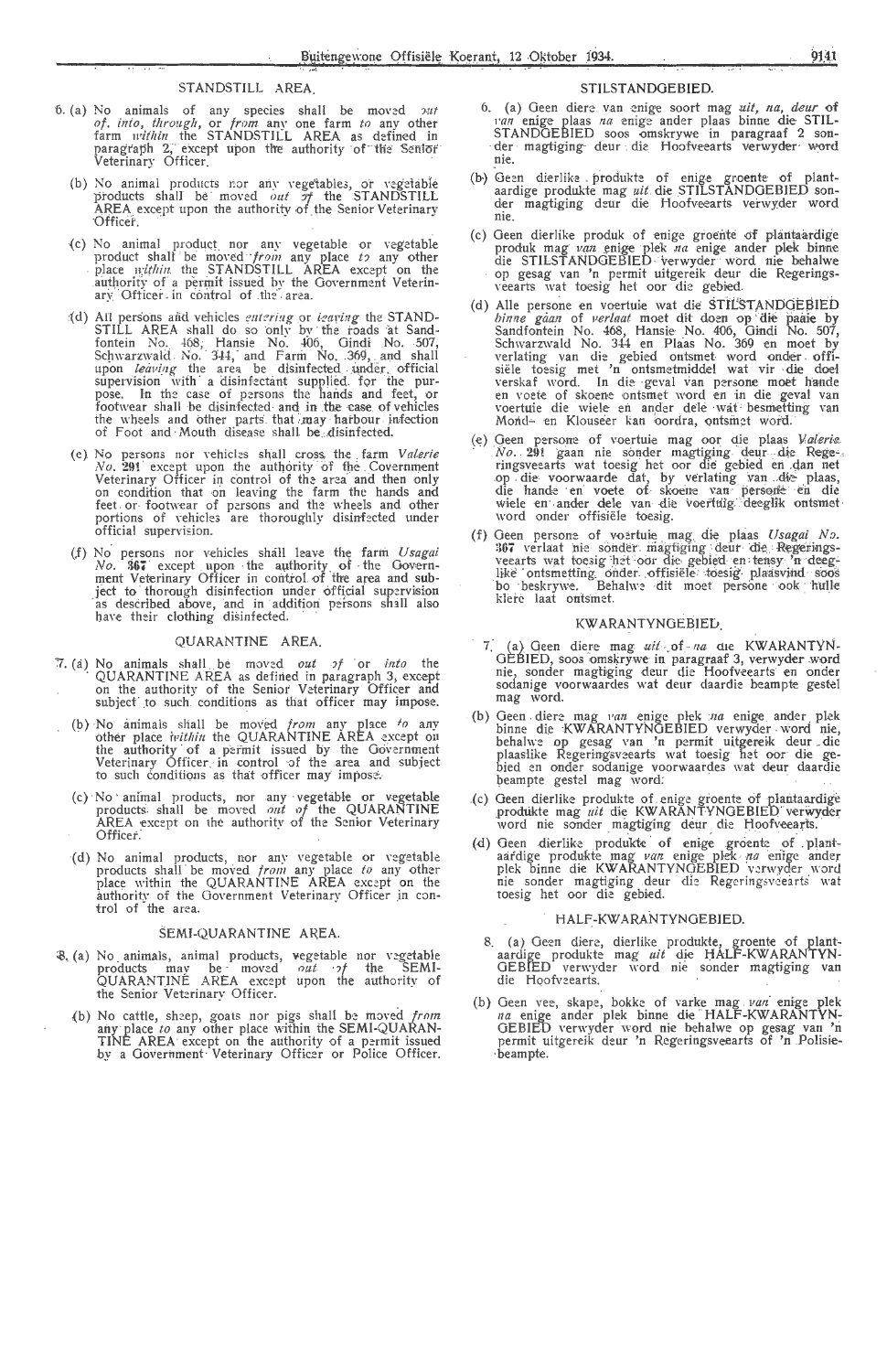### STANDSTILL AREA

- No animals of any species shall be moved *out* of, into, through, or from any one farm to any other farm *within* the STANDSTILL AREA as defined in paragraph 2, except upon the authority of the Senior Veterinary Officer.  $6. (a)$  No
	- (b) No animal products nor any vegetables, or vegetable products shall be moved *out*  $\pi f$  the STANDSTILL AREA except upon the authority of the Senior Veterinary Officer.
	- (c) No animal No animal product nor any vegetable or vegetable<br>product shall be moved *from* any place to any other<br>place *within* the STANDSTILL AREA except on the authority of a permit issued by the Government Veterinary Officer in control of the area.
	- (d) All persons and vehicles *entering* or *leaving* the STAND-<br>STILL AREA shall do so only by the roads at Sand-<br>fontein No. 468, Hansie No. 406, Gindi No. 507,<br>Schwarzwald No. 344, and Farm No. 369, and shall<br>upon *leavi*
	- (e) No persons nor vehicles shall cross the farm *Valerie*  $No$ . 291 except upon the authority of the Covernment Veterinary Officer in control of the area and then only on condition that on leaving the farm the hands and<br>feet or footwear of persons and the wheels and other<br>portions of vehicles are thoroughly disinfected under official supervision.
	- (f) No persons nor vehicles shall leave the farm  $Usagai$  No.  $367$  except upon the authority of the Government Veterinary Officer in control of the area and subject to thorough disinfection under official supervision as des

#### QUARANTINE AREA.

- $\sqrt[3]{7}$ . (a) No animals shall be moved out of or into the QUARANTINE AREA as defined in paragraph 3, except on the authority of the Senior Veterinary Officer and subject to such conditions as that officer may impose.
	- (b) No animals shall be moved *from* any place  $\eta$  any other place *within* the QUARANTINE AREA except on the authority of a permit issued by the Government Veterinary Officer in control of the area and subject to such c
	- (c) No animal products, nor any vegetable or vegetable products shall be moved out of the QUARANTINE AREA except on the authority of the Senior Veterinary Officer.
	- (d) No animal products, nor any vegetable or vegetable products shall be moved *from* any place  $\ell \nu$  any other place within the QUARANTINE AREA except on the authority of the Government Veterinary Officer in control of the area.

#### SEMI-QUARANTINE AREA.

- **3.** (a) No animals, animal products, vegetable nor vegetable products may be moved out of the SEMI-QUARANTINE AREA except upon the authority of the Senior Veterinary Officer.
	- (b) No cattle, sheep, goats nor pigs shall be moved *from*<br>any place to any other place within the SEMI-QUARAN-<br>TINE AREA except on the authority of a permit issued<br>by a Government Veterinary Officer or Police Officer.

#### STILSTANDGEBIED.

- 6. (a) Geen diere van enige soort mag uit, na, deur of van enige plaas na enige ander plaas binne die STIL-STANDGEBIED soos omskrywe in paragraaf 2 sonder magtiging deur die Hoofveearts verwyder word nie.
- (b) Geen dierlike produkte of enige groente of plant-<br>aardige produkte mag uit die STILSTANDGEBIED son-<br>der magtiging deur die Hoofveearts verwyder word nie.
- (c) Geen dierlike produk of enige groente of plantaardige produk mag van enige plek na enige ander plek binne<br>die STILSTANDGEBIED verwyder word nie behalwe op gesag van 'n permit uitgereik deur die Regeringsveearts wat toesig het oor die gebied.
- (d) Alle persone en voertuie wat die STIL'STANDGEBIED<br>binne gaan of verlaat moet dit doen op die paaie by<br>Sandfortein No. 468, Hansie No. 406, Gindi No. 507,<br>Schwarzvald No. 344 en Plaas No. 369 en moet by<br>verlating van di Mond- en Klouseer kan oordra, ontsmet word.
- (e) Geen persone of voertuie mag oor die plaas Valerie.<br>No. 291 gaan nie sonder magtiging deur die Rege-<br>ringsveearts wat toesig het oor die gebied en dan net<br>op die voorwaarde dat, by verlating van die plaas,<br>die hande en
- (f) Geen persons of voertuie mag die plaas Usagai No.<br>367 verlaat nie sonder magtiging deur die Regerings-<br>veearts wat toesig het oor die gebied en tensy 'n deeg-<br>like ontsmetting onder offisiële toesig plaasvind soos<br>bo b klere laat ontsmet.

#### KWARANTYNGEBIEL

- 7. (a) Geen diere mag  $uit \circ$  of  $-na$  die KWARANTYN-GEBIED, soos omskrywe in paragraaf 3, verwyder word nie, sonder magtiging deur die Hoofveearts en onder sodanige voorwaardes wat deur daardie beampte gestel mag word.
- (b) Geen diere mag *van* enige plek *na* enige ander plek<br>binne die KWARANTYNGEBIED verwyder word nie,<br>behalwe op gesag van 'n permit uitgereik deur die<br>plaaslike Regeringsveearts wat toesig het oor die ge-<br>bied en onder s
- (c) Geen dierlike produkte of enige groente of plantaardige produkte mag *uit* die KWARANTYNGEBIED verwyder word nie sonder magtiging deur die Hoofveearts.
- (d) Geen dierlike produkte of enige groente of plant-<br>aardige produkte mag van enige plek na enige ander<br>plek binne die KWARANTYNOEBIED verwyder word<br>nie sonder magtiging deur die Regeringsveearts wat<br>toesig het oor die ge

#### HALF-KWARANTYNGEBIED.

- 8. (a) Geen diere, dierlike produkte, groente of plant-<br>aardige produkte mag uit die HALF-KWARANTYN-GEBIED verwyder word nie sonder magtiging van die Hoofveearts.
- (b) Geen vee, skape, bokke of varke mag van enige plek<br>na enige ander plek binne die HALF-KWARANTYN-<br>GEBIED verwyder word nie behalwe op gesag van 'n<br>permit uitgereik deur 'n Regeringsveearts of 'n Polisiebeampte.